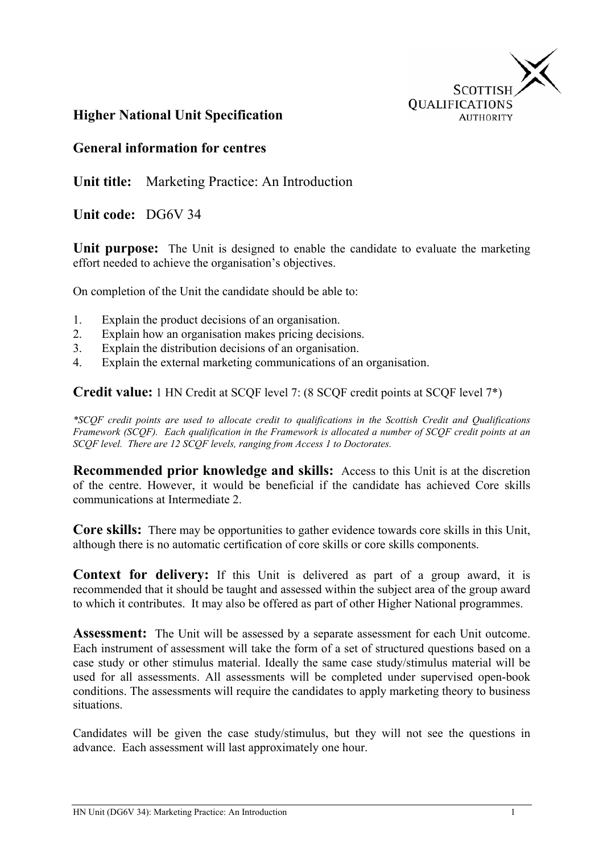

## **Higher National Unit Specification**

#### **General information for centres**

**Unit title:** Marketing Practice: An Introduction

**Unit code:** DG6V 34

**Unit purpose:** The Unit is designed to enable the candidate to evaluate the marketing effort needed to achieve the organisation's objectives.

On completion of the Unit the candidate should be able to:

- 1. Explain the product decisions of an organisation.
- 2. Explain how an organisation makes pricing decisions.
- 3. Explain the distribution decisions of an organisation.
- 4. Explain the external marketing communications of an organisation.

**Credit value:** 1 HN Credit at SCQF level 7: (8 SCQF credit points at SCQF level 7\*)

*\*SCQF credit points are used to allocate credit to qualifications in the Scottish Credit and Qualifications Framework (SCQF). Each qualification in the Framework is allocated a number of SCQF credit points at an SCQF level. There are 12 SCQF levels, ranging from Access 1 to Doctorates.* 

**Recommended prior knowledge and skills:** Access to this Unit is at the discretion of the centre. However, it would be beneficial if the candidate has achieved Core skills communications at Intermediate 2.

**Core skills:** There may be opportunities to gather evidence towards core skills in this Unit, although there is no automatic certification of core skills or core skills components.

**Context for delivery:** If this Unit is delivered as part of a group award, it is recommended that it should be taught and assessed within the subject area of the group award to which it contributes. It may also be offered as part of other Higher National programmes.

**Assessment:** The Unit will be assessed by a separate assessment for each Unit outcome. Each instrument of assessment will take the form of a set of structured questions based on a case study or other stimulus material. Ideally the same case study/stimulus material will be used for all assessments. All assessments will be completed under supervised open-book conditions. The assessments will require the candidates to apply marketing theory to business situations.

Candidates will be given the case study/stimulus, but they will not see the questions in advance. Each assessment will last approximately one hour.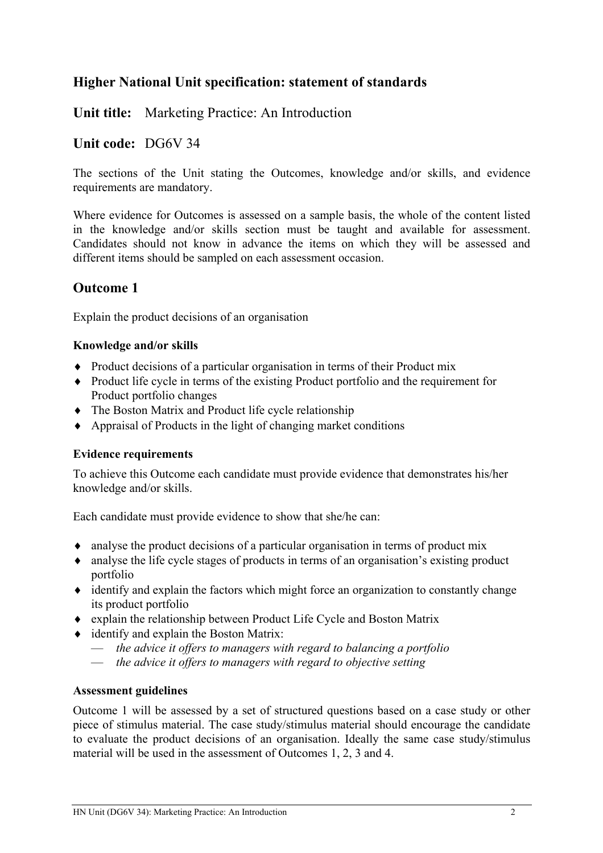## **Unit title:** Marketing Practice: An Introduction

#### **Unit code:** DG6V 34

The sections of the Unit stating the Outcomes, knowledge and/or skills, and evidence requirements are mandatory.

Where evidence for Outcomes is assessed on a sample basis, the whole of the content listed in the knowledge and/or skills section must be taught and available for assessment. Candidates should not know in advance the items on which they will be assessed and different items should be sampled on each assessment occasion.

## **Outcome 1**

Explain the product decisions of an organisation

#### **Knowledge and/or skills**

- ♦ Product decisions of a particular organisation in terms of their Product mix
- ♦ Product life cycle in terms of the existing Product portfolio and the requirement for Product portfolio changes
- ♦ The Boston Matrix and Product life cycle relationship
- ♦ Appraisal of Products in the light of changing market conditions

#### **Evidence requirements**

To achieve this Outcome each candidate must provide evidence that demonstrates his/her knowledge and/or skills.

Each candidate must provide evidence to show that she/he can:

- ♦ analyse the product decisions of a particular organisation in terms of product mix
- ♦ analyse the life cycle stages of products in terms of an organisation's existing product portfolio
- ♦ identify and explain the factors which might force an organization to constantly change its product portfolio
- ♦ explain the relationship between Product Life Cycle and Boston Matrix
- ♦ identify and explain the Boston Matrix:
	- *the advice it offers to managers with regard to balancing a portfolio*
	- *the advice it offers to managers with regard to objective setting*

#### **Assessment guidelines**

Outcome 1 will be assessed by a set of structured questions based on a case study or other piece of stimulus material. The case study/stimulus material should encourage the candidate to evaluate the product decisions of an organisation. Ideally the same case study/stimulus material will be used in the assessment of Outcomes 1, 2, 3 and 4.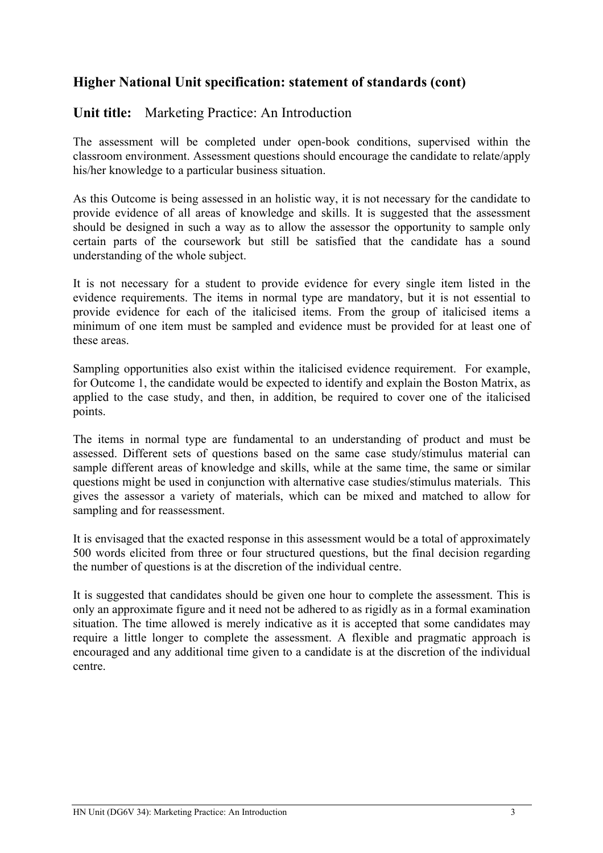### **Unit title:** Marketing Practice: An Introduction

The assessment will be completed under open-book conditions, supervised within the classroom environment. Assessment questions should encourage the candidate to relate/apply his/her knowledge to a particular business situation.

As this Outcome is being assessed in an holistic way, it is not necessary for the candidate to provide evidence of all areas of knowledge and skills. It is suggested that the assessment should be designed in such a way as to allow the assessor the opportunity to sample only certain parts of the coursework but still be satisfied that the candidate has a sound understanding of the whole subject.

It is not necessary for a student to provide evidence for every single item listed in the evidence requirements. The items in normal type are mandatory, but it is not essential to provide evidence for each of the italicised items. From the group of italicised items a minimum of one item must be sampled and evidence must be provided for at least one of these areas.

Sampling opportunities also exist within the italicised evidence requirement. For example, for Outcome 1, the candidate would be expected to identify and explain the Boston Matrix, as applied to the case study, and then, in addition, be required to cover one of the italicised points.

The items in normal type are fundamental to an understanding of product and must be assessed. Different sets of questions based on the same case study/stimulus material can sample different areas of knowledge and skills, while at the same time, the same or similar questions might be used in conjunction with alternative case studies/stimulus materials. This gives the assessor a variety of materials, which can be mixed and matched to allow for sampling and for reassessment.

It is envisaged that the exacted response in this assessment would be a total of approximately 500 words elicited from three or four structured questions, but the final decision regarding the number of questions is at the discretion of the individual centre.

It is suggested that candidates should be given one hour to complete the assessment. This is only an approximate figure and it need not be adhered to as rigidly as in a formal examination situation. The time allowed is merely indicative as it is accepted that some candidates may require a little longer to complete the assessment. A flexible and pragmatic approach is encouraged and any additional time given to a candidate is at the discretion of the individual centre.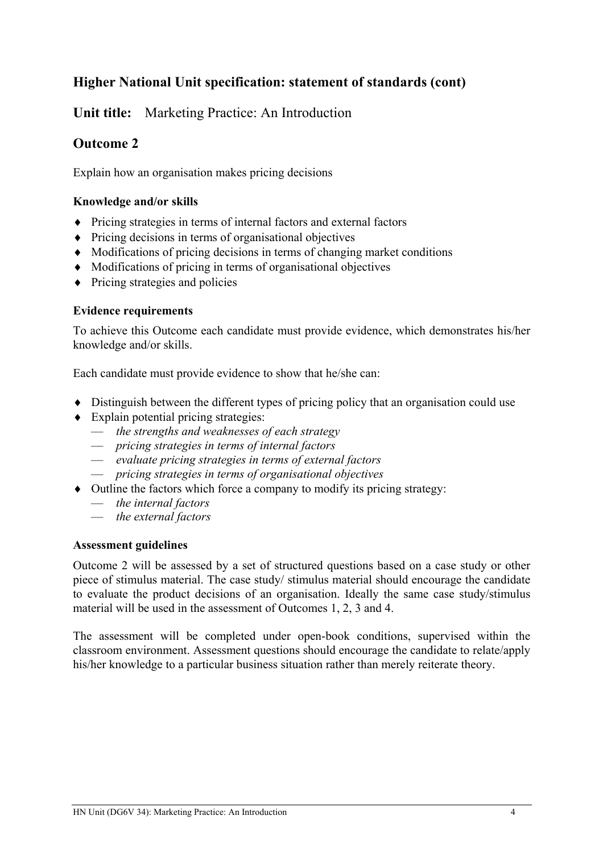**Unit title:** Marketing Practice: An Introduction

## **Outcome 2**

Explain how an organisation makes pricing decisions

#### **Knowledge and/or skills**

- ♦ Pricing strategies in terms of internal factors and external factors
- ♦ Pricing decisions in terms of organisational objectives
- ♦ Modifications of pricing decisions in terms of changing market conditions
- ♦ Modifications of pricing in terms of organisational objectives
- ♦ Pricing strategies and policies

#### **Evidence requirements**

To achieve this Outcome each candidate must provide evidence, which demonstrates his/her knowledge and/or skills.

Each candidate must provide evidence to show that he/she can:

- ♦ Distinguish between the different types of pricing policy that an organisation could use
- ♦ Explain potential pricing strategies:
	- *the strengths and weaknesses of each strategy*
	- *pricing strategies in terms of internal factors*
	- *evaluate pricing strategies in terms of external factors*
	- *pricing strategies in terms of organisational objectives*
- ♦ Outline the factors which force a company to modify its pricing strategy:
	- *the internal factors*
	- *the external factors*

#### **Assessment guidelines**

Outcome 2 will be assessed by a set of structured questions based on a case study or other piece of stimulus material. The case study/ stimulus material should encourage the candidate to evaluate the product decisions of an organisation. Ideally the same case study/stimulus material will be used in the assessment of Outcomes 1, 2, 3 and 4.

The assessment will be completed under open-book conditions, supervised within the classroom environment. Assessment questions should encourage the candidate to relate/apply his/her knowledge to a particular business situation rather than merely reiterate theory.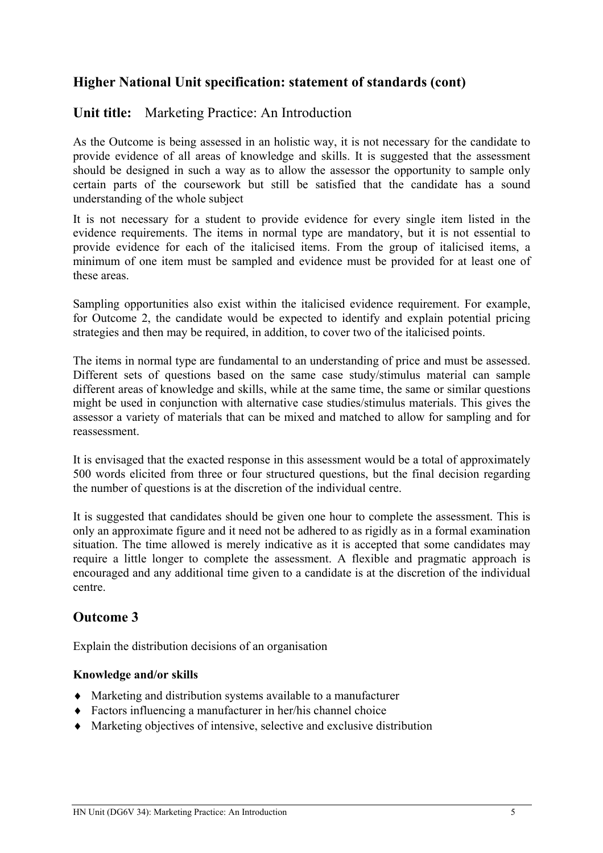### **Unit title:** Marketing Practice: An Introduction

As the Outcome is being assessed in an holistic way, it is not necessary for the candidate to provide evidence of all areas of knowledge and skills. It is suggested that the assessment should be designed in such a way as to allow the assessor the opportunity to sample only certain parts of the coursework but still be satisfied that the candidate has a sound understanding of the whole subject

It is not necessary for a student to provide evidence for every single item listed in the evidence requirements. The items in normal type are mandatory, but it is not essential to provide evidence for each of the italicised items. From the group of italicised items, a minimum of one item must be sampled and evidence must be provided for at least one of these areas.

Sampling opportunities also exist within the italicised evidence requirement. For example, for Outcome 2, the candidate would be expected to identify and explain potential pricing strategies and then may be required, in addition, to cover two of the italicised points.

The items in normal type are fundamental to an understanding of price and must be assessed. Different sets of questions based on the same case study/stimulus material can sample different areas of knowledge and skills, while at the same time, the same or similar questions might be used in conjunction with alternative case studies/stimulus materials. This gives the assessor a variety of materials that can be mixed and matched to allow for sampling and for reassessment.

It is envisaged that the exacted response in this assessment would be a total of approximately 500 words elicited from three or four structured questions, but the final decision regarding the number of questions is at the discretion of the individual centre.

It is suggested that candidates should be given one hour to complete the assessment. This is only an approximate figure and it need not be adhered to as rigidly as in a formal examination situation. The time allowed is merely indicative as it is accepted that some candidates may require a little longer to complete the assessment. A flexible and pragmatic approach is encouraged and any additional time given to a candidate is at the discretion of the individual centre.

## **Outcome 3**

Explain the distribution decisions of an organisation

#### **Knowledge and/or skills**

- ♦ Marketing and distribution systems available to a manufacturer
- ♦ Factors influencing a manufacturer in her/his channel choice
- ♦ Marketing objectives of intensive, selective and exclusive distribution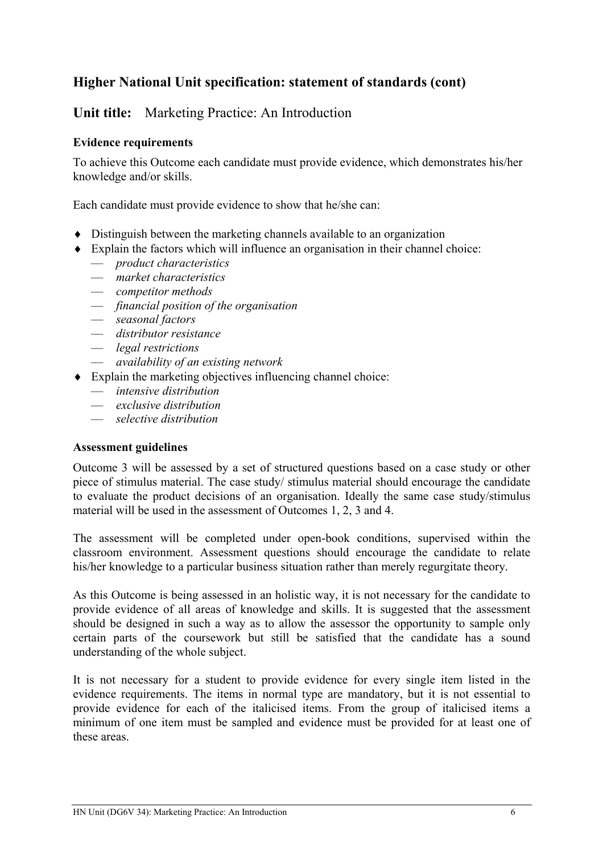## **Unit title:** Marketing Practice: An Introduction

#### **Evidence requirements**

To achieve this Outcome each candidate must provide evidence, which demonstrates his/her knowledge and/or skills.

Each candidate must provide evidence to show that he/she can:

- ♦ Distinguish between the marketing channels available to an organization
- ♦ Explain the factors which will influence an organisation in their channel choice:
	- *product characteristics*
	- *market characteristics*
	- *competitor methods*
	- *financial position of the organisation*
	- *seasonal factors*
	- *distributor resistance*
	- *legal restrictions*
	- *availability of an existing network*
- ♦ Explain the marketing objectives influencing channel choice:
	- *intensive distribution*
	- *exclusive distribution*
	- *selective distribution*

#### **Assessment guidelines**

Outcome 3 will be assessed by a set of structured questions based on a case study or other piece of stimulus material. The case study/ stimulus material should encourage the candidate to evaluate the product decisions of an organisation. Ideally the same case study/stimulus material will be used in the assessment of Outcomes 1, 2, 3 and 4.

The assessment will be completed under open-book conditions, supervised within the classroom environment. Assessment questions should encourage the candidate to relate his/her knowledge to a particular business situation rather than merely regurgitate theory.

As this Outcome is being assessed in an holistic way, it is not necessary for the candidate to provide evidence of all areas of knowledge and skills. It is suggested that the assessment should be designed in such a way as to allow the assessor the opportunity to sample only certain parts of the coursework but still be satisfied that the candidate has a sound understanding of the whole subject.

It is not necessary for a student to provide evidence for every single item listed in the evidence requirements. The items in normal type are mandatory, but it is not essential to provide evidence for each of the italicised items. From the group of italicised items a minimum of one item must be sampled and evidence must be provided for at least one of these areas.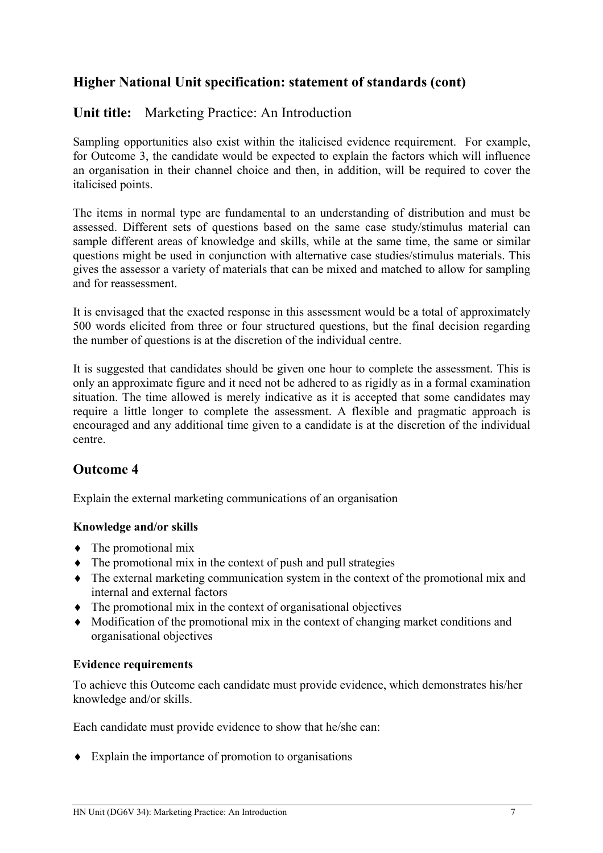## **Unit title:** Marketing Practice: An Introduction

Sampling opportunities also exist within the italicised evidence requirement. For example, for Outcome 3, the candidate would be expected to explain the factors which will influence an organisation in their channel choice and then, in addition, will be required to cover the italicised points.

The items in normal type are fundamental to an understanding of distribution and must be assessed. Different sets of questions based on the same case study/stimulus material can sample different areas of knowledge and skills, while at the same time, the same or similar questions might be used in conjunction with alternative case studies/stimulus materials. This gives the assessor a variety of materials that can be mixed and matched to allow for sampling and for reassessment.

It is envisaged that the exacted response in this assessment would be a total of approximately 500 words elicited from three or four structured questions, but the final decision regarding the number of questions is at the discretion of the individual centre.

It is suggested that candidates should be given one hour to complete the assessment. This is only an approximate figure and it need not be adhered to as rigidly as in a formal examination situation. The time allowed is merely indicative as it is accepted that some candidates may require a little longer to complete the assessment. A flexible and pragmatic approach is encouraged and any additional time given to a candidate is at the discretion of the individual centre.

## **Outcome 4**

Explain the external marketing communications of an organisation

#### **Knowledge and/or skills**

- $\bullet$  The promotional mix
- ♦ The promotional mix in the context of push and pull strategies
- ♦ The external marketing communication system in the context of the promotional mix and internal and external factors
- ♦ The promotional mix in the context of organisational objectives
- ♦ Modification of the promotional mix in the context of changing market conditions and organisational objectives

#### **Evidence requirements**

To achieve this Outcome each candidate must provide evidence, which demonstrates his/her knowledge and/or skills.

Each candidate must provide evidence to show that he/she can:

♦ Explain the importance of promotion to organisations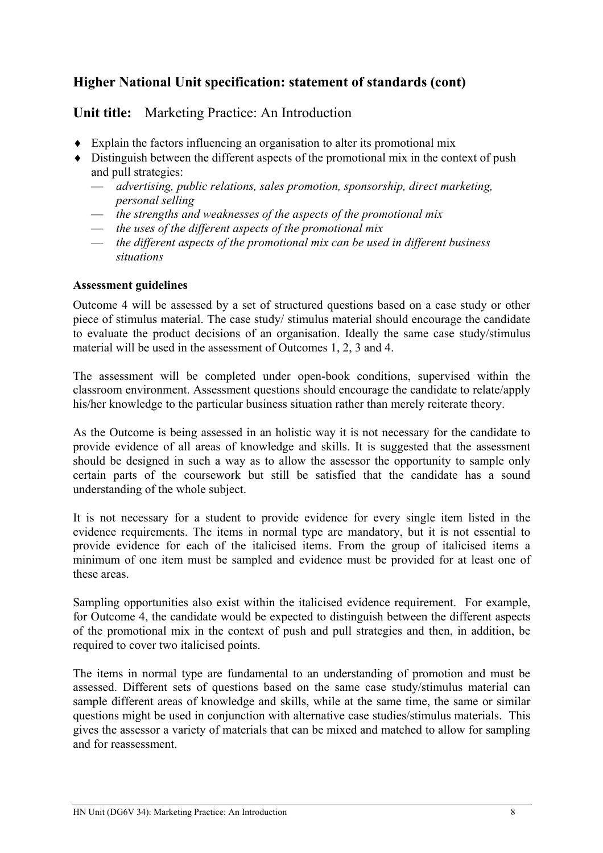**Unit title:** Marketing Practice: An Introduction

- ♦ Explain the factors influencing an organisation to alter its promotional mix
- ♦ Distinguish between the different aspects of the promotional mix in the context of push and pull strategies:
	- *advertising, public relations, sales promotion, sponsorship, direct marketing, personal selling*
	- *the strengths and weaknesses of the aspects of the promotional mix*
	- *the uses of the different aspects of the promotional mix*
	- *the different aspects of the promotional mix can be used in different business situations*

#### **Assessment guidelines**

Outcome 4 will be assessed by a set of structured questions based on a case study or other piece of stimulus material. The case study/ stimulus material should encourage the candidate to evaluate the product decisions of an organisation. Ideally the same case study/stimulus material will be used in the assessment of Outcomes 1, 2, 3 and 4.

The assessment will be completed under open-book conditions, supervised within the classroom environment. Assessment questions should encourage the candidate to relate/apply his/her knowledge to the particular business situation rather than merely reiterate theory.

As the Outcome is being assessed in an holistic way it is not necessary for the candidate to provide evidence of all areas of knowledge and skills. It is suggested that the assessment should be designed in such a way as to allow the assessor the opportunity to sample only certain parts of the coursework but still be satisfied that the candidate has a sound understanding of the whole subject.

It is not necessary for a student to provide evidence for every single item listed in the evidence requirements. The items in normal type are mandatory, but it is not essential to provide evidence for each of the italicised items. From the group of italicised items a minimum of one item must be sampled and evidence must be provided for at least one of these areas.

Sampling opportunities also exist within the italicised evidence requirement. For example, for Outcome 4, the candidate would be expected to distinguish between the different aspects of the promotional mix in the context of push and pull strategies and then, in addition, be required to cover two italicised points.

The items in normal type are fundamental to an understanding of promotion and must be assessed. Different sets of questions based on the same case study/stimulus material can sample different areas of knowledge and skills, while at the same time, the same or similar questions might be used in conjunction with alternative case studies/stimulus materials. This gives the assessor a variety of materials that can be mixed and matched to allow for sampling and for reassessment.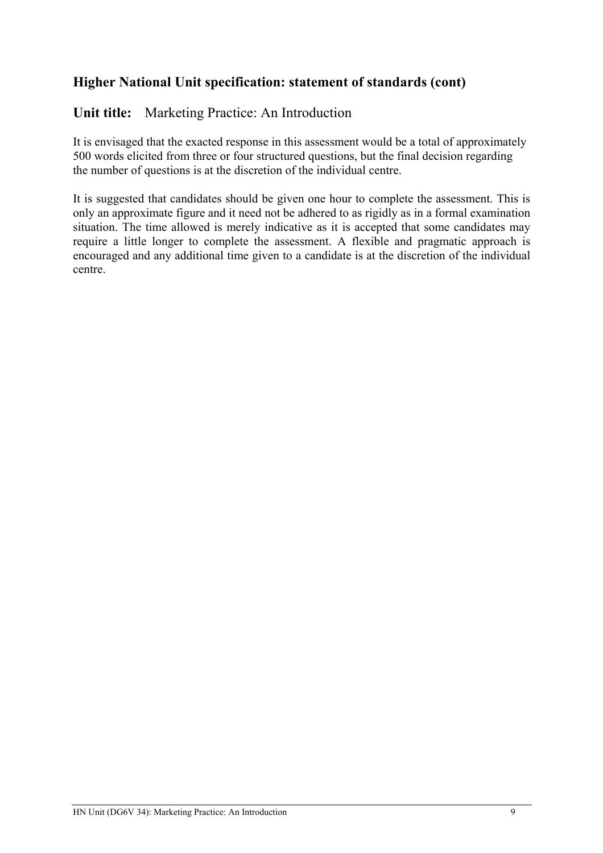## **Unit title:** Marketing Practice: An Introduction

It is envisaged that the exacted response in this assessment would be a total of approximately 500 words elicited from three or four structured questions, but the final decision regarding the number of questions is at the discretion of the individual centre.

It is suggested that candidates should be given one hour to complete the assessment. This is only an approximate figure and it need not be adhered to as rigidly as in a formal examination situation. The time allowed is merely indicative as it is accepted that some candidates may require a little longer to complete the assessment. A flexible and pragmatic approach is encouraged and any additional time given to a candidate is at the discretion of the individual centre.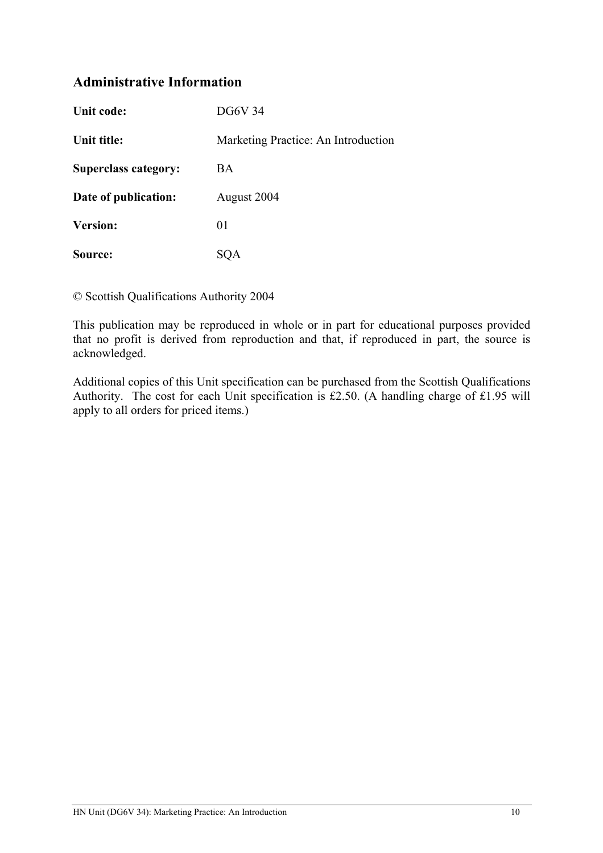## **Administrative Information**

| Unit code:                  | DG6V 34                             |
|-----------------------------|-------------------------------------|
| Unit title:                 | Marketing Practice: An Introduction |
| <b>Superclass category:</b> | BA                                  |
| Date of publication:        | August 2004                         |
| <b>Version:</b>             | 01                                  |
| Source:                     | SOA                                 |

© Scottish Qualifications Authority 2004

This publication may be reproduced in whole or in part for educational purposes provided that no profit is derived from reproduction and that, if reproduced in part, the source is acknowledged.

Additional copies of this Unit specification can be purchased from the Scottish Qualifications Authority. The cost for each Unit specification is £2.50. (A handling charge of £1.95 will apply to all orders for priced items.)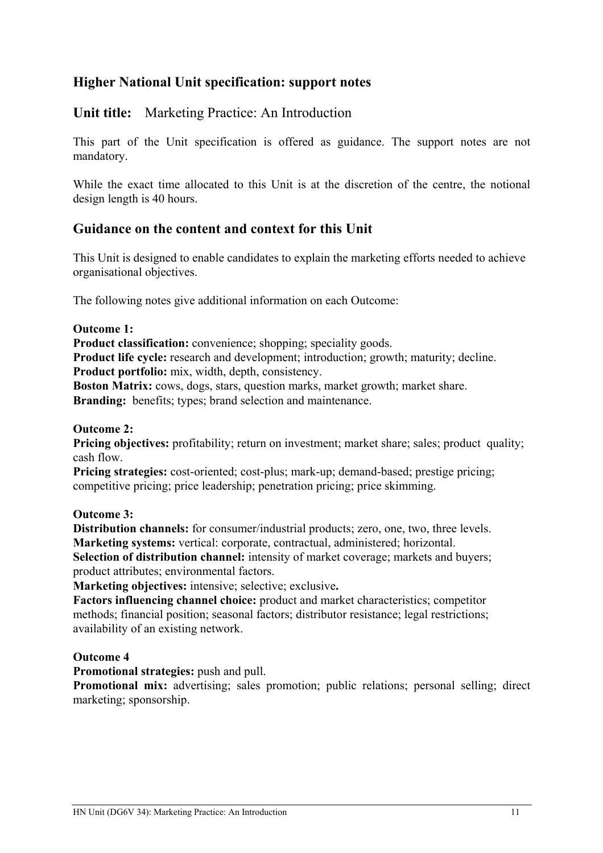## **Higher National Unit specification: support notes**

### **Unit title:** Marketing Practice: An Introduction

This part of the Unit specification is offered as guidance. The support notes are not mandatory.

While the exact time allocated to this Unit is at the discretion of the centre, the notional design length is 40 hours.

### **Guidance on the content and context for this Unit**

This Unit is designed to enable candidates to explain the marketing efforts needed to achieve organisational objectives.

The following notes give additional information on each Outcome:

#### **Outcome 1:**

**Product classification:** convenience; shopping; speciality goods.

**Product life cycle:** research and development; introduction; growth; maturity; decline.

**Product portfolio:** mix, width, depth, consistency.

**Boston Matrix:** cows, dogs, stars, question marks, market growth; market share.

**Branding:** benefits; types; brand selection and maintenance.

#### **Outcome 2:**

**Pricing objectives:** profitability; return on investment; market share; sales; product quality; cash flow.

**Pricing strategies:** cost-oriented; cost-plus; mark-up; demand-based; prestige pricing; competitive pricing; price leadership; penetration pricing; price skimming.

#### **Outcome 3:**

**Distribution channels:** for consumer/industrial products; zero, one, two, three levels. **Marketing systems:** vertical: corporate, contractual, administered; horizontal.

**Selection of distribution channel:** intensity of market coverage; markets and buyers; product attributes; environmental factors.

**Marketing objectives:** intensive; selective; exclusive**.** 

**Factors influencing channel choice:** product and market characteristics; competitor methods; financial position; seasonal factors; distributor resistance; legal restrictions; availability of an existing network.

#### **Outcome 4**

**Promotional strategies:** push and pull.

**Promotional mix:** advertising; sales promotion; public relations; personal selling; direct marketing; sponsorship.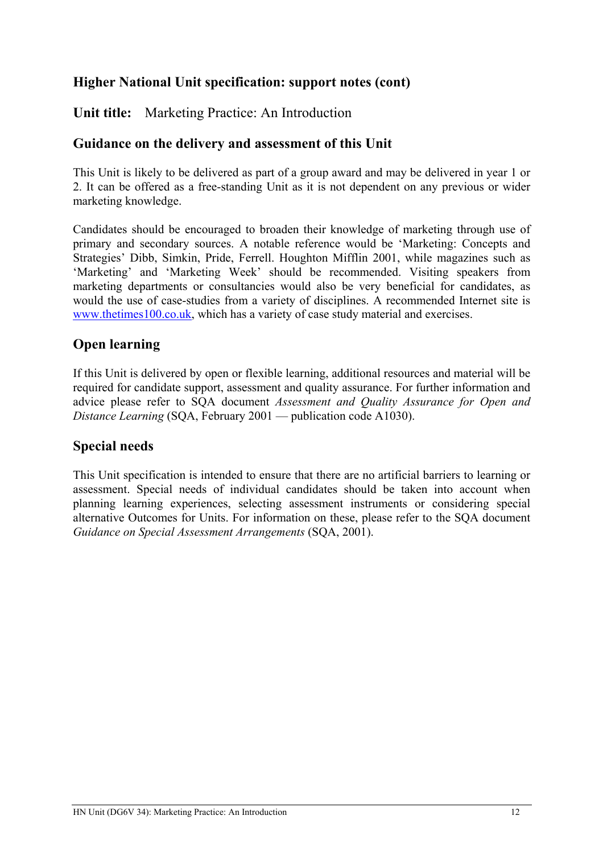## **Higher National Unit specification: support notes (cont)**

**Unit title:** Marketing Practice: An Introduction

### **Guidance on the delivery and assessment of this Unit**

This Unit is likely to be delivered as part of a group award and may be delivered in year 1 or 2. It can be offered as a free-standing Unit as it is not dependent on any previous or wider marketing knowledge.

Candidates should be encouraged to broaden their knowledge of marketing through use of primary and secondary sources. A notable reference would be 'Marketing: Concepts and Strategies' Dibb, Simkin, Pride, Ferrell. Houghton Mifflin 2001, while magazines such as 'Marketing' and 'Marketing Week' should be recommended. Visiting speakers from marketing departments or consultancies would also be very beneficial for candidates, as would the use of case-studies from a variety of disciplines. A recommended Internet site is [www.thetimes100.co.uk,](http://www.thetimes100.co.uk/) which has a variety of case study material and exercises.

## **Open learning**

If this Unit is delivered by open or flexible learning, additional resources and material will be required for candidate support, assessment and quality assurance. For further information and advice please refer to SQA document *Assessment and Quality Assurance for Open and Distance Learning* (SQA, February 2001 — publication code A1030).

## **Special needs**

This Unit specification is intended to ensure that there are no artificial barriers to learning or assessment. Special needs of individual candidates should be taken into account when planning learning experiences, selecting assessment instruments or considering special alternative Outcomes for Units. For information on these, please refer to the SQA document *Guidance on Special Assessment Arrangements* (SQA, 2001).